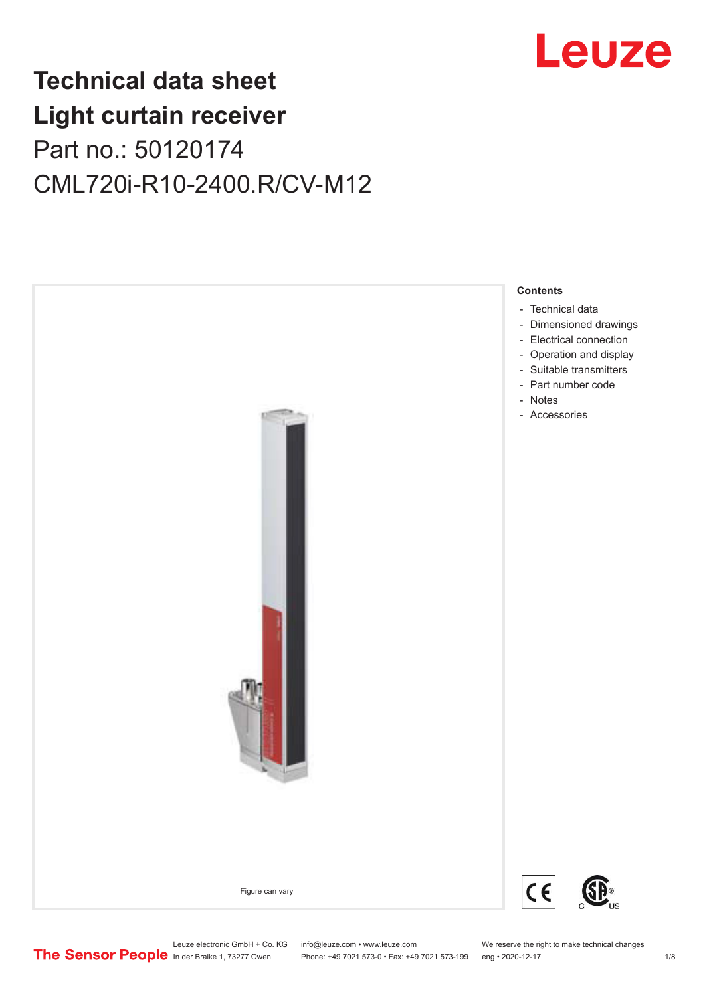

## **Technical data sheet Light curtain receiver** Part no.: 50120174 CML720i-R10-2400.R/CV-M12



Leuze electronic GmbH + Co. KG info@leuze.com • www.leuze.com We reserve the right to make technical changes<br>
The Sensor People in der Braike 1, 73277 Owen Phone: +49 7021 573-0 • Fax: +49 7021 573-199 eng • 2020-12-17

Phone: +49 7021 573-0 • Fax: +49 7021 573-199 eng • 2020-12-17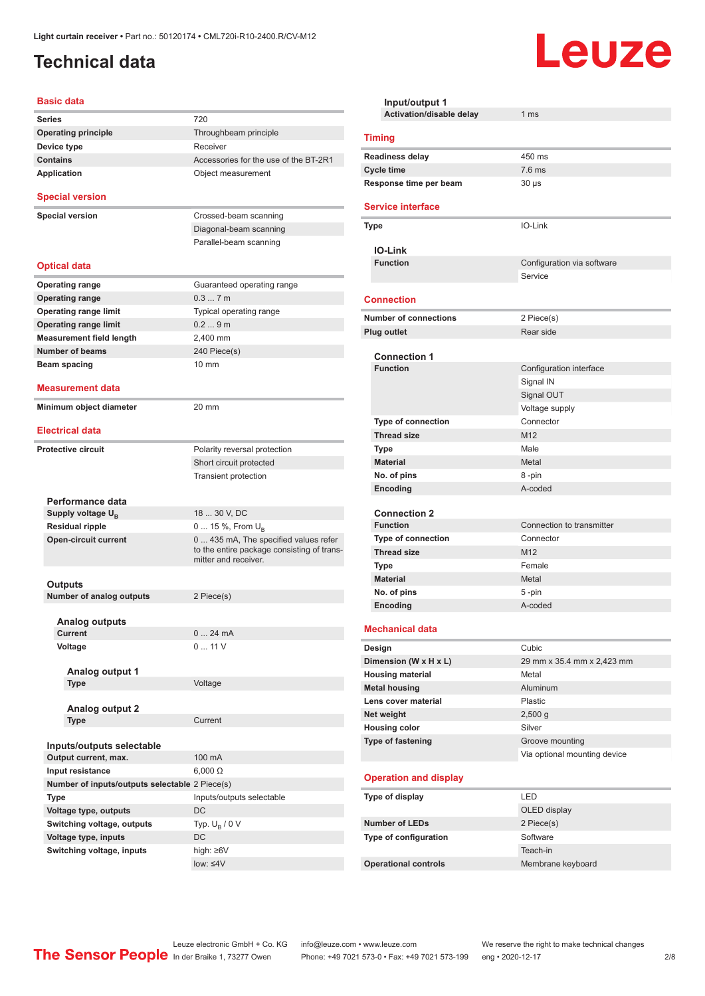## <span id="page-1-0"></span>**Technical data**

#### **Basic data**

| <b>Series</b> |                                                | 720                                                                                                        |
|---------------|------------------------------------------------|------------------------------------------------------------------------------------------------------------|
|               | <b>Operating principle</b>                     | Throughbeam principle                                                                                      |
|               | Device type                                    | Receiver                                                                                                   |
|               | <b>Contains</b>                                | Accessories for the use of the BT-2R1                                                                      |
|               | <b>Application</b>                             | Object measurement                                                                                         |
|               | <b>Special version</b>                         |                                                                                                            |
|               | <b>Special version</b>                         | Crossed-beam scanning                                                                                      |
|               |                                                | Diagonal-beam scanning                                                                                     |
|               |                                                | Parallel-beam scanning                                                                                     |
|               |                                                |                                                                                                            |
|               | <b>Optical data</b>                            |                                                                                                            |
|               | <b>Operating range</b>                         | Guaranteed operating range                                                                                 |
|               | <b>Operating range</b>                         | 0.37m                                                                                                      |
|               | <b>Operating range limit</b>                   | Typical operating range                                                                                    |
|               | <b>Operating range limit</b>                   | 0.29m                                                                                                      |
|               | <b>Measurement field length</b>                | 2,400 mm                                                                                                   |
|               | <b>Number of beams</b>                         | 240 Piece(s)                                                                                               |
|               | Beam spacing                                   | $10 \text{ mm}$                                                                                            |
|               |                                                |                                                                                                            |
|               | <b>Measurement data</b>                        |                                                                                                            |
|               | Minimum object diameter                        | $20 \text{ mm}$                                                                                            |
|               |                                                |                                                                                                            |
|               | <b>Electrical data</b>                         |                                                                                                            |
|               | <b>Protective circuit</b>                      | Polarity reversal protection                                                                               |
|               |                                                | Short circuit protected                                                                                    |
|               |                                                | Transient protection                                                                                       |
|               |                                                |                                                                                                            |
|               | Performance data                               |                                                                                                            |
|               | Supply voltage $U_{B}$                         | 18  30 V, DC                                                                                               |
|               | <b>Residual ripple</b>                         | 0  15 %, From $U_{\rm B}$                                                                                  |
|               | <b>Open-circuit current</b>                    | 0 435 mA, The specified values refer<br>to the entire package consisting of trans-<br>mitter and receiver. |
|               |                                                |                                                                                                            |
|               | Outputs                                        |                                                                                                            |
|               | <b>Number of analog outputs</b>                | 2 Piece(s)                                                                                                 |
|               | <b>Analog outputs</b>                          |                                                                                                            |
|               | Current                                        | 0<br>24 mA                                                                                                 |
|               | Voltage                                        | 0  11 V                                                                                                    |
|               |                                                |                                                                                                            |
|               | Analog output 1                                |                                                                                                            |
|               | Type                                           | Voltage                                                                                                    |
|               |                                                |                                                                                                            |
|               | <b>Analog output 2</b>                         |                                                                                                            |
|               | Type                                           | Current                                                                                                    |
|               |                                                |                                                                                                            |
|               | Inputs/outputs selectable                      |                                                                                                            |
|               | Output current, max.                           | 100 mA                                                                                                     |
|               | Input resistance                               | $6,000 \Omega$                                                                                             |
|               | Number of inputs/outputs selectable 2 Piece(s) |                                                                                                            |
|               | Type                                           | Inputs/outputs selectable                                                                                  |
|               | Voltage type, outputs                          | DC                                                                                                         |
|               | Switching voltage, outputs                     | Typ. $U_R / 0 V$                                                                                           |
|               | Voltage type, inputs                           | DC                                                                                                         |
|               | Switching voltage, inputs                      | high: ≥6V                                                                                                  |
|               |                                                | low: $\leq 4V$                                                                                             |
|               |                                                |                                                                                                            |

| Input/output 1                                  |                              |  |  |  |
|-------------------------------------------------|------------------------------|--|--|--|
| Activation/disable delay                        | 1 <sub>ms</sub>              |  |  |  |
| <b>Timing</b>                                   |                              |  |  |  |
| <b>Readiness delay</b>                          | 450 ms                       |  |  |  |
| <b>Cycle time</b>                               | $7.6$ ms                     |  |  |  |
| Response time per beam                          | $30 \mu s$                   |  |  |  |
| <b>Service interface</b>                        |                              |  |  |  |
| <b>Type</b>                                     | IO-Link                      |  |  |  |
| <b>IO-Link</b>                                  |                              |  |  |  |
| <b>Function</b>                                 | Configuration via software   |  |  |  |
|                                                 | Service                      |  |  |  |
| <b>Connection</b>                               |                              |  |  |  |
| <b>Number of connections</b>                    | 2 Piece(s)                   |  |  |  |
| <b>Plug outlet</b>                              | Rear side                    |  |  |  |
|                                                 |                              |  |  |  |
| <b>Connection 1</b>                             |                              |  |  |  |
| <b>Function</b>                                 | Configuration interface      |  |  |  |
|                                                 | Signal IN                    |  |  |  |
|                                                 | Signal OUT                   |  |  |  |
|                                                 | Voltage supply<br>Connector  |  |  |  |
| <b>Type of connection</b><br><b>Thread size</b> | M12                          |  |  |  |
| Type                                            | Male                         |  |  |  |
| <b>Material</b>                                 | Metal                        |  |  |  |
| No. of pins                                     | 8-pin                        |  |  |  |
| Encoding                                        | A-coded                      |  |  |  |
|                                                 |                              |  |  |  |
| <b>Connection 2</b>                             |                              |  |  |  |
| <b>Function</b>                                 | Connection to transmitter    |  |  |  |
| <b>Type of connection</b>                       | Connector                    |  |  |  |
| <b>Thread size</b>                              | M <sub>12</sub>              |  |  |  |
| Type                                            | Female                       |  |  |  |
| <b>Material</b>                                 | Metal                        |  |  |  |
| No. of pins                                     | 5-pin                        |  |  |  |
| Encoding                                        | A-coded                      |  |  |  |
| <b>Mechanical data</b>                          |                              |  |  |  |
| Design                                          | Cubic                        |  |  |  |
| Dimension (W x H x L)                           | 29 mm x 35.4 mm x 2,423 mm   |  |  |  |
| <b>Housing material</b>                         | Metal                        |  |  |  |
| <b>Metal housing</b>                            | Aluminum                     |  |  |  |
| Lens cover material                             | Plastic                      |  |  |  |
| Net weight                                      | $2,500$ g                    |  |  |  |
| <b>Housing color</b>                            | Silver                       |  |  |  |
| Type of fastening                               | Groove mounting              |  |  |  |
|                                                 | Via optional mounting device |  |  |  |
| <b>Operation and display</b>                    |                              |  |  |  |
| Type of display                                 | LED                          |  |  |  |
|                                                 | OLED display                 |  |  |  |
| <b>Number of LEDs</b>                           | 2 Piece(s)                   |  |  |  |
| Type of configuration                           | Software                     |  |  |  |
|                                                 | Teach-in                     |  |  |  |
| <b>Operational controls</b>                     | Membrane keyboard            |  |  |  |

Leuze

Leuze electronic GmbH + Co. KG info@leuze.com • www.leuze.com We reserve the right to make technical changes ln der Braike 1, 73277 Owen Phone: +49 7021 573-0 • Fax: +49 7021 573-199 eng • 2020-12-17 2/8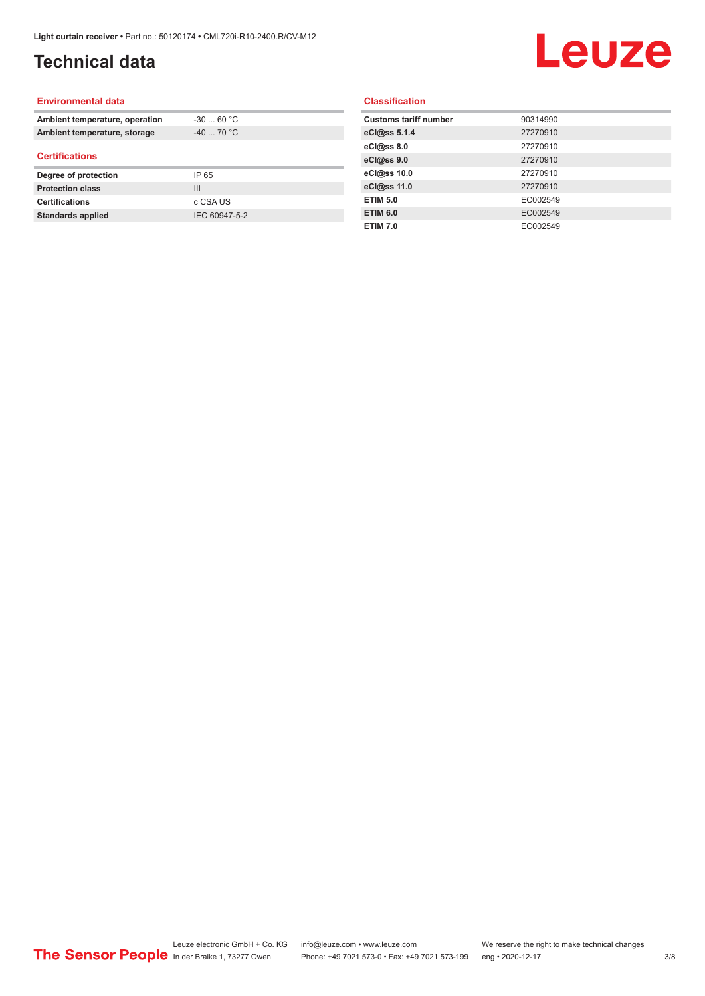## **Technical data**

# Leuze

#### **Environmental data**

| Ambient temperature, operation | $-30$ 60 °C    |  |
|--------------------------------|----------------|--|
| Ambient temperature, storage   | $-40$ 70 °C    |  |
| <b>Certifications</b>          |                |  |
| Degree of protection           | IP 65          |  |
| <b>Protection class</b>        | $\mathbf{III}$ |  |
| <b>Certifications</b>          | c CSA US       |  |
| <b>Standards applied</b>       | IEC 60947-5-2  |  |

#### **Classification**

| <b>Customs tariff number</b> | 90314990 |
|------------------------------|----------|
| eCl@ss 5.1.4                 | 27270910 |
| eCl@ss 8.0                   | 27270910 |
| eCl@ss 9.0                   | 27270910 |
| eCl@ss 10.0                  | 27270910 |
| eCl@ss 11.0                  | 27270910 |
| <b>ETIM 5.0</b>              | EC002549 |
| <b>ETIM 6.0</b>              | EC002549 |
| <b>ETIM 7.0</b>              | EC002549 |
|                              |          |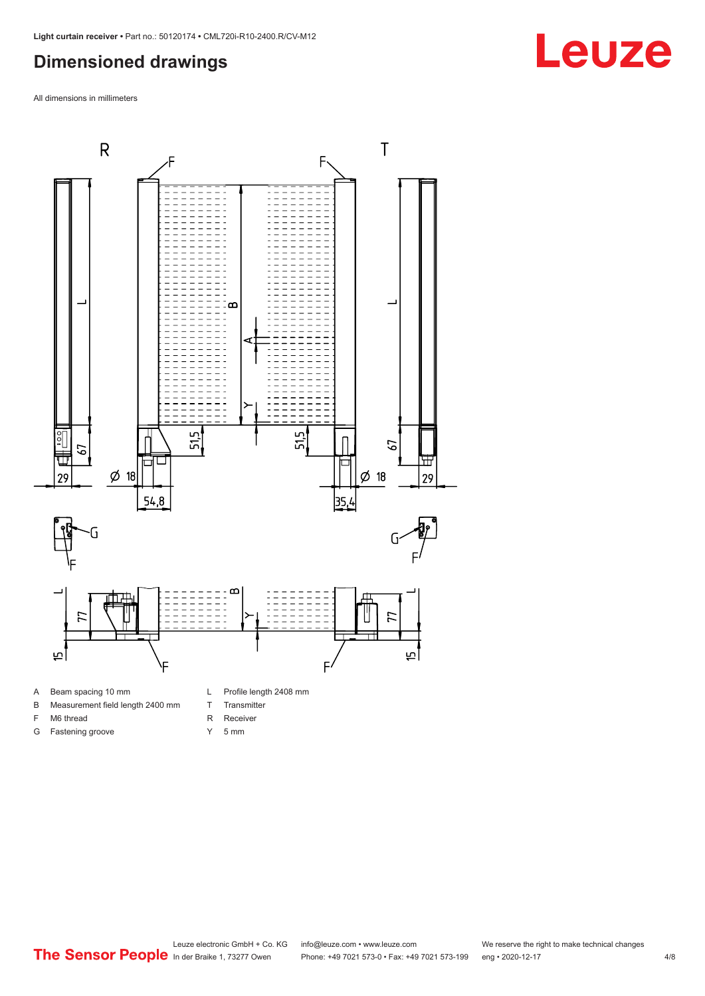### <span id="page-3-0"></span>**Dimensioned drawings**

All dimensions in millimeters



- A Beam spacing 10 mm
- B Measurement field length 2400 mm
- F M6 thread

G Fastening groove

- R Receiver
	- Y 5 mm

T Transmitter

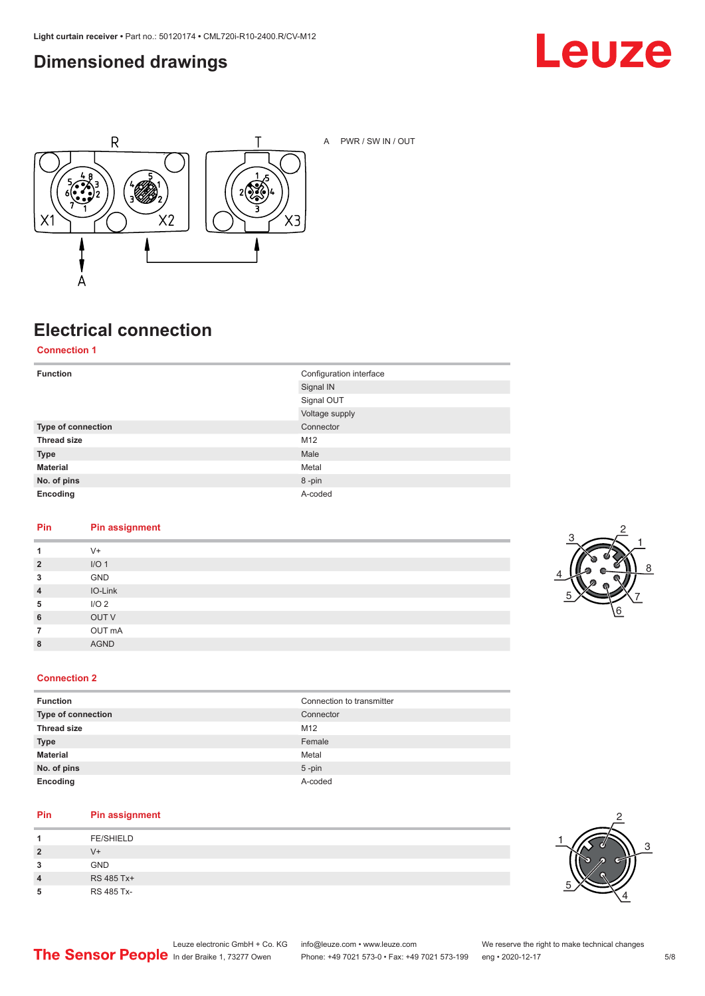### <span id="page-4-0"></span>**Dimensioned drawings**





A PWR / SW IN / OUT

## **Electrical connection**

**Connection 1**

| <b>Function</b>    | Configuration interface |
|--------------------|-------------------------|
|                    | Signal IN               |
|                    | Signal OUT              |
|                    | Voltage supply          |
| Type of connection | Connector               |
| <b>Thread size</b> | M12                     |
| <b>Type</b>        | Male                    |
| <b>Material</b>    | Metal                   |
| No. of pins        | 8-pin                   |
| Encoding           | A-coded                 |

#### **Pin Pin assignment**

| 1              | $V +$            |
|----------------|------------------|
| $\overline{2}$ | I/O <sub>1</sub> |
| 3              | GND              |
| $\overline{4}$ | IO-Link          |
| 5              | I/O <sub>2</sub> |
| 6              | OUT V            |
| $\overline{7}$ | OUT mA           |
| 8              | <b>AGND</b>      |
|                |                  |



#### **Connection 2**

| <b>Function</b>    | Connection to transmitter |
|--------------------|---------------------------|
| Type of connection | Connector                 |
| <b>Thread size</b> | M <sub>12</sub>           |
| <b>Type</b>        | Female                    |
| <b>Material</b>    | Metal                     |
| No. of pins        | $5$ -pin                  |
| Encoding           | A-coded                   |

#### **Pin Pin assignment**

| л              | <b>FE/SHIELD</b> |
|----------------|------------------|
| $\overline{2}$ | V+               |
| 3              | <b>GND</b>       |
| 4              | RS 485 Tx+       |
| 5              | RS 485 Tx-       |

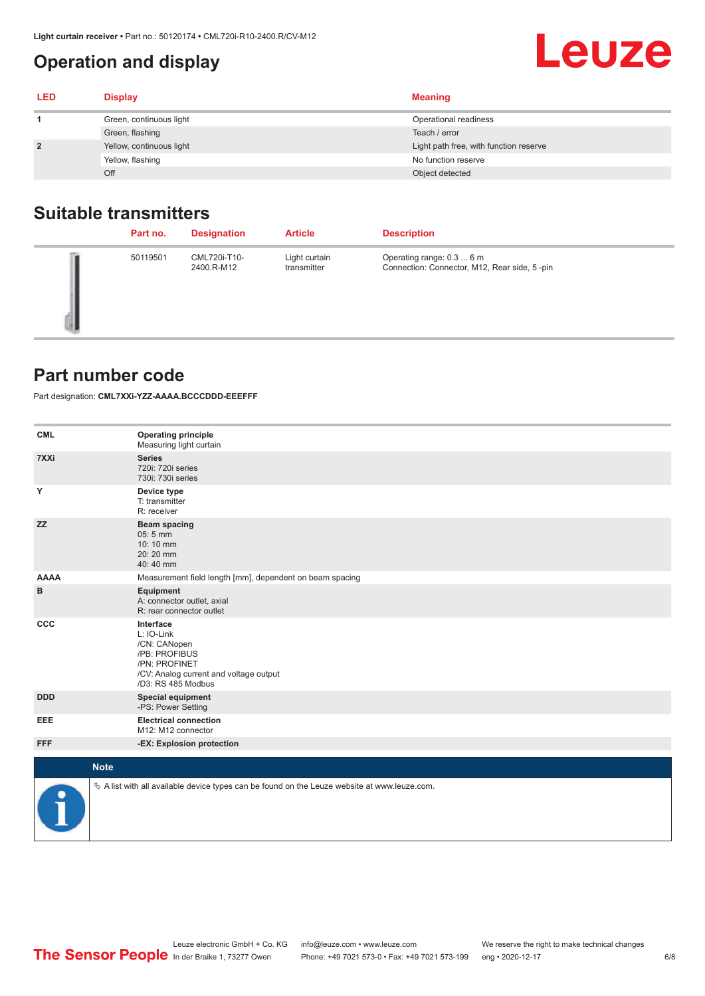## <span id="page-5-0"></span>**Operation and display**

| <b>LED</b>     | <b>Display</b>           | <b>Meaning</b>                         |
|----------------|--------------------------|----------------------------------------|
|                | Green, continuous light  | Operational readiness                  |
|                | Green, flashing          | Teach / error                          |
| $\overline{2}$ | Yellow, continuous light | Light path free, with function reserve |
|                | Yellow, flashing         | No function reserve                    |
|                | Off                      | Object detected                        |

#### **Suitable transmitters**

| Part no. | <b>Designation</b>         | <b>Article</b>               | <b>Description</b>                                                        |
|----------|----------------------------|------------------------------|---------------------------------------------------------------------------|
| 50119501 | CML720i-T10-<br>2400.R-M12 | Light curtain<br>transmitter | Operating range: 0.3  6 m<br>Connection: Connector, M12, Rear side, 5-pin |

#### **Part number code**

Part designation: **CML7XXi-YZZ-AAAA.BCCCDDD-EEEFFF**

| <b>CML</b>  | <b>Operating principle</b><br>Measuring light curtain                                                                                     |
|-------------|-------------------------------------------------------------------------------------------------------------------------------------------|
| 7XXi        | <b>Series</b><br>720i: 720i series<br>730i: 730i series                                                                                   |
| Υ           | Device type<br>T: transmitter<br>R: receiver                                                                                              |
| <b>ZZ</b>   | <b>Beam spacing</b><br>$05:5$ mm<br>10:10 mm<br>20:20 mm<br>40:40 mm                                                                      |
| <b>AAAA</b> | Measurement field length [mm], dependent on beam spacing                                                                                  |
| в           | Equipment<br>A: connector outlet, axial<br>R: rear connector outlet                                                                       |
| CCC         | Interface<br>L: IO-Link<br>/CN: CANopen<br>/PB: PROFIBUS<br>/PN: PROFINET<br>/CV: Analog current and voltage output<br>/D3: RS 485 Modbus |
| <b>DDD</b>  | <b>Special equipment</b><br>-PS: Power Setting                                                                                            |
| <b>EEE</b>  | <b>Electrical connection</b><br>M12: M12 connector                                                                                        |
| <b>FFF</b>  | -EX: Explosion protection                                                                                                                 |
|             | <b>Note</b>                                                                                                                               |
| P           | $\&$ A list with all available device types can be found on the Leuze website at www.leuze.com.                                           |

**Leuze**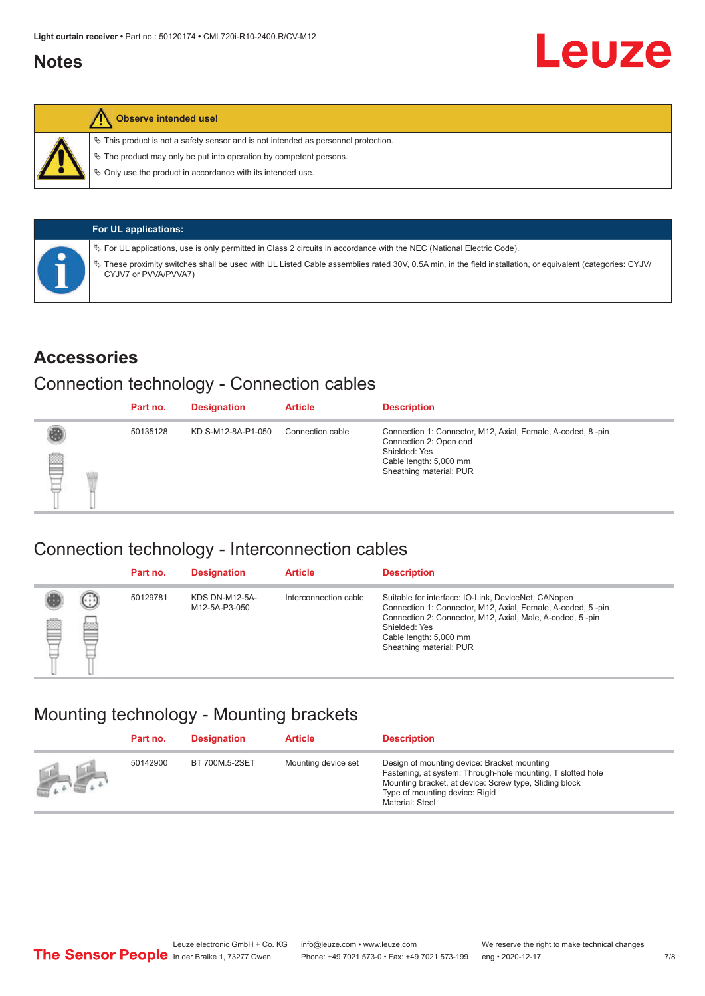#### <span id="page-6-0"></span>**Notes**



#### **Observe intended use!**

 $\%$  This product is not a safety sensor and is not intended as personnel protection.

 $\%$  The product may only be put into operation by competent persons.

 $\%$  Only use the product in accordance with its intended use.

| <b>For UL applications:</b>                                                                                                                                                       |
|-----------------------------------------------------------------------------------------------------------------------------------------------------------------------------------|
| $\%$ For UL applications, use is only permitted in Class 2 circuits in accordance with the NEC (National Electric Code).                                                          |
| V These proximity switches shall be used with UL Listed Cable assemblies rated 30V, 0.5A min, in the field installation, or equivalent (categories: CYJV/<br>CYJV7 or PVVA/PVVA7) |

#### **Accessories**

#### Connection technology - Connection cables

|   | Part no. | <b>Designation</b> | <b>Article</b>   | <b>Description</b>                                                                                                                                          |
|---|----------|--------------------|------------------|-------------------------------------------------------------------------------------------------------------------------------------------------------------|
| § | 50135128 | KD S-M12-8A-P1-050 | Connection cable | Connection 1: Connector, M12, Axial, Female, A-coded, 8-pin<br>Connection 2: Open end<br>Shielded: Yes<br>Cable length: 5,000 mm<br>Sheathing material: PUR |

#### Connection technology - Interconnection cables

|   |                           | Part no. | <b>Designation</b>                     | <b>Article</b>        | <b>Description</b>                                                                                                                                                                                                                                    |
|---|---------------------------|----------|----------------------------------------|-----------------------|-------------------------------------------------------------------------------------------------------------------------------------------------------------------------------------------------------------------------------------------------------|
| ▤ | $\left(\cdot\right)$<br>Þ | 50129781 | <b>KDS DN-M12-5A-</b><br>M12-5A-P3-050 | Interconnection cable | Suitable for interface: IO-Link, DeviceNet, CANopen<br>Connection 1: Connector, M12, Axial, Female, A-coded, 5-pin<br>Connection 2: Connector, M12, Axial, Male, A-coded, 5-pin<br>Shielded: Yes<br>Cable length: 5,000 mm<br>Sheathing material: PUR |

#### Mounting technology - Mounting brackets

|                                               | Part no. | <b>Designation</b> | <b>Article</b>      | <b>Description</b>                                                                                                                                                                                                        |
|-----------------------------------------------|----------|--------------------|---------------------|---------------------------------------------------------------------------------------------------------------------------------------------------------------------------------------------------------------------------|
| $\frac{1}{2}$ , $\frac{1}{2}$ , $\frac{1}{2}$ | 50142900 | BT 700M.5-2SET     | Mounting device set | Design of mounting device: Bracket mounting<br>Fastening, at system: Through-hole mounting, T slotted hole<br>Mounting bracket, at device: Screw type, Sliding block<br>Type of mounting device: Rigid<br>Material: Steel |

Leuze